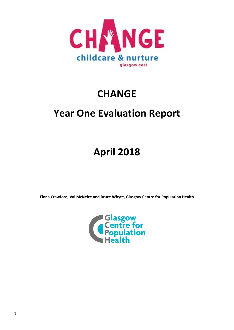

# **CHANGE**

# **Year One Evaluation Report**

# **April 2018**

**Fiona Crawford, Val McNeice and Bruce Whyte, Glasgow Centre for Population Health**

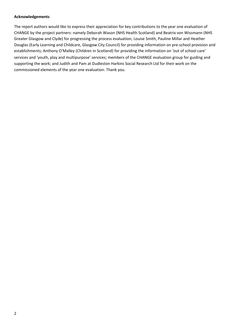#### **Acknowledgements**

The report authors would like to express their appreciation for key contributions to the year one evaluation of CHANGE by the project partners: namely Deborah Wason (NHS Health Scotland) and Beatrix von Wissmann (NHS Greater Glasgow and Clyde) for progressing the process evaluation; Louise Smith, Pauline Millar and Heather Douglas (Early Learning and Childcare, Glasgow City Council) for providing information on pre-school provision and establishments; Anthony O'Malley (Children in Scotland) for providing the information on 'out of school care' services and 'youth, play and multipurpose' services; members of the CHANGE evaluation group for guiding and supporting the work; and Judith and Pam at Dudleston Harkins Social Research Ltd for their work on the commissioned elements of the year one evaluation. Thank you.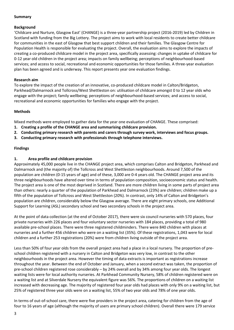## **Summary**

## **Background**

'Childcare and Nurture, Glasgow East' (CHANGE) is a three-year partnership project (2016-2019) led by Children in Scotland with funding from the Big Lottery. The project aims to work with local residents to create better childcare for communities in the east of Glasgow that best support children and their families. The Glasgow Centre for Population Health is responsible for evaluating the project. Overall, the evaluation aims to explore the impacts of creating a co-produced childcare model in the project area, specifically assessing: changes in uptake of childcare for 0-12 year old children in the project area; impacts on family wellbeing; perceptions of neighbourhood-based services; and access to social, recreational and economic opportunities for those families. A three-year evaluation plan has been agreed and is underway. This report presents year one evaluation findings.

## **Research aim**

To explore the impact of the creation of an innovative, co-produced childcare model in Calton/Bridgeton, Parkhead/Dalmarnock and Tollcross/West Shettleston on: utilisation of childcare amongst 0 to 12 year olds who engage with the project; family wellbeing; perceptions of neighbourhood-based services; and access to social, recreational and economic opportunities for families who engage with the project.

# **Methods**

Mixed methods were employed to gather data for the year one evaluation of CHANGE. These comprised:

- **1. Creating a profile of the CHANGE area and summarising childcare provision.**
- **2. Conducting primary research with parents and carers through survey work, interviews and focus groups.**
- **3. Conducting primary research with professionals through telephone interviews.**

# **Findings**

# **1. Area profile and childcare provision**

Approximately 45,000 people live in the CHANGE project area, which comprises Calton and Bridgeton, Parkhead and Dalmarnock and (the majority of) the Tollcross and West Shettleston neighbourhoods. Around 7,500 of the population are children (0-15 years of age) and of these, 3,000 are 0-4 years old. The CHANGE project area and its three neighbourhoods have altered over time in terms of population composition, socioeconomic status and health. The project area is one of the most deprived in Scotland. There are more children living in some parts of project area than others: nearly a quarter of the population of Parkhead and Dalmarnock (23%) are children; children make up a fifth of the population of Tollcross and West Shettleston (20%). In contrast, only 14% of Calton and Bridgeton's population are children, considerably below the Glasgow average. There are eight primary schools, one Additional Support for Learning (ASL) secondary school and two secondary schools in the project area.

At the point of data collection (at the end of October 2017), there were six council nurseries with 570 places, four private nurseries with 226 places and four voluntary sector nurseries with 184 places, providing a total of 980 available pre-school places. There were three registered childminders. There were 840 children with places at nurseries and a further 456 children who were on a waiting list (35%). Of these registrations, 1,043 were for local children and a further 253 registrations (20%) were from children living outside of the project area.

Less than 50% of four year olds from the overall project area had a place in a local nursery. The proportion of preschool children registered with a nursery in Calton and Bridgeton was very low, in contrast to the other neighbourhoods in the project area. However the timing of data extracts is important as registrations increase throughout the year. Between the end of October and January, when a second extract was taken, the proportion of pre-school children registered rose considerably – by 24% overall and by 34% among four year olds. The longest waiting lists were for local authority nurseries. At Parkhead Community Nursery, 58% of children registered were on a waiting list and at Silverdale Nursery the equivalent figure was 56%. The proportions of children on a waiting list increased with decreasing age. The majority of registered four year olds had places with only 9% on a waiting list, but 25% of registered three year olds were on a waiting list, 55% of two year olds and 78% of one year olds.

In terms of out-of-school care, there were five providers in the project area, catering for children from the age of four to 16 years of age (although the majority of users are primary school children). Overall there were 179 service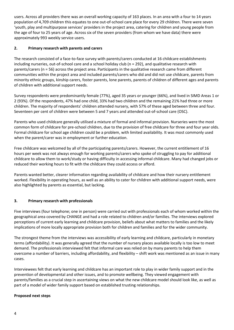users. Across all providers there was an overall working capacity of 163 places. In an area with a four to 14 years population of 4,709 children this equates to one out-of-school care place for every 29 children. There were seven 'youth, play and multipurpose services' providers in the project area, catering for children and young people from the age of four to 25 years of age. Across six of the seven providers (from whom we have data) there were approximately 993 weekly service users.

# **2. Primary research with parents and carers**

The research consisted of a face-to-face survey with parents/carers conducted at 16 childcare establishments including nurseries, out-of-school care and a school holiday club (n = 292), and qualitative research with parents/carers (n = 56) across the project area. Participants in the qualitative research came from different communities within the project area and included parents/carers who did and did not use childcare, parents from minority ethnic groups, kinship carers, foster parents, lone parents, parents of children of different ages and parents of children with additional support needs.

Survey respondents were predominantly female (77%), aged 35 years or younger (66%), and lived in SIMD Areas 1 or 2 (93%). Of the respondents, 47% had one child, 33% had two children and the remaining 21% had three or more children. The majority of respondents' children attended nursery, with 57% of these aged between three and four. Seventeen per cent of children were between 5 and 7 years and attended out-of-school care (OSC).

Parents who used childcare generally utilised a mixture of formal and informal provision. Nurseries were the most common form of childcare for pre-school children, due to the provision of free childcare for three and four year olds. Formal childcare for school age children could be a problem, with limited availability. It was most commonly used when the parent/carer was in employment or further education.

Free childcare was welcomed by all of the participating parents/carers. However, the current entitlement of 16 hours per week was not always enough for working parents/carers who spoke of struggling to pay for additional childcare to allow them to work/study or having difficulty in accessing informal childcare. Many had changed jobs or reduced their working hours to fit with the childcare they could access or afford.

Parents wanted better, clearer information regarding availability of childcare and how their nursery entitlement worked. Flexibility in operating hours, as well as an ability to cater for children with additional support needs, were also highlighted by parents as essential, but lacking.

# **3. Primary research with professionals**

Five interviews (four telephone; one in person) were carried out with professionals each of whom worked within the geographical area covered by CHANGE and had a role related to children and/or families. The interviews explored perceptions of current early learning and childcare provision, beliefs about what matters to families and the likely implications of more locally appropriate provision both for children and families and for the wider community.

The strongest theme from the interviews was accessibility of early learning and childcare, particularly in monetary terms (affordability). It was generally agreed that the number of nursery places available locally is too low to meet demand. The professionals interviewed felt that informal care was relied on by many parents to help them overcome a number of barriers, including affordability, and flexibility – shift work was mentioned as an issue in many cases.

Interviewees felt that early learning and childcare has an important role to play in wider family support and in the prevention of developmental and other issues, and to promote wellbeing. They viewed engagement with parents/families as a crucial step in ascertaining views on what the new childcare model should look like, as well as part of a model of wider family support based on established trusting relationships.

## **Proposed next steps**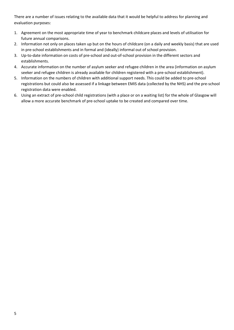There are a number of issues relating to the available data that it would be helpful to address for planning and evaluation purposes:

- 1. Agreement on the most appropriate time of year to benchmark childcare places and levels of utilisation for future annual comparisons.
- 2. Information not only on places taken up but on the hours of childcare (on a daily and weekly basis) that are used in pre-school establishments and in formal and (ideally) informal out of school provision.
- 3. Up-to-date information on costs of pre-school and out-of-school provision in the different sectors and establishments.
- 4. Accurate information on the number of asylum seeker and refugee children in the area (information on asylum seeker and refugee children is already available for children registered with a pre-school establishment).
- 5. Information on the numbers of children with additional support needs. This could be added to pre-school registrations but could also be assessed if a linkage between EMIS data (collected by the NHS) and the pre-school registration data were enabled.
- 6. Using an extract of pre-school child registrations (with a place or on a waiting list) for the whole of Glasgow will allow a more accurate benchmark of pre-school uptake to be created and compared over time.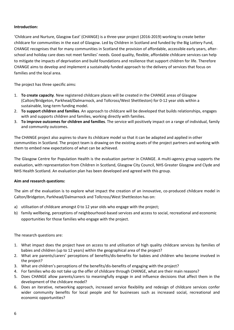# **Introduction:**

'Childcare and Nurture, Glasgow East' (CHANGE) is a three-year project (2016-2019) working to create better childcare for communities in the east of Glasgow. Led by Children in Scotland and funded by the Big Lottery Fund, CHANGE recognises that for many communities in Scotland the provision of affordable, accessible early years, afterschool and holiday care does not meet families' needs. Good quality, flexible, affordable childcare services can help to mitigate the impacts of deprivation and build foundations and resilience that support children for life. Therefore CHANGE aims to develop and implement a sustainably funded approach to the delivery of services that focus on families and the local area.

The project has three specific aims:

- 1. **To create capacity**. New registered childcare places will be created in the CHANGE areas of Glasgow (Calton/Bridgeton, Parkhead/Dalmarnock, and Tollcross/West Shettleston) for 0-12 year olds within a sustainable, long-term funding model.
- 2. **To support children and families**. An approach to childcare will be developed that builds relationships, engages with and supports children and families, working directly with families.
- 3. **To improve outcomes for children and families**. The service will positively impact on a range of individual, family and community outcomes.

The CHANGE project also aspires to share its childcare model so that it can be adapted and applied in other communities in Scotland. The project team is drawing on the existing assets of the project partners and working with them to embed new expectations of what can be achieved.

The Glasgow Centre for Population Health is the evaluation partner in CHANGE. A multi-agency group supports the evaluation, with representation from Children in Scotland, Glasgow City Council, NHS Greater Glasgow and Clyde and NHS Health Scotland. An evaluation plan has been developed and agreed with this group.

## **Aim and research questions:**

The aim of the evaluation is to explore what impact the creation of an innovative, co-produced childcare model in Calton/Bridgeton, Parkhead/Dalmarnock and Tollcross/West Shettleston has on:

- a) utilisation of childcare amongst 0 to 12 year olds who engage with the project;
- b) family wellbeing, perceptions of neighbourhood-based services and access to social, recreational and economic opportunities for those families who engage with the project.

The research questions are:

- 1. What impact does the project have on access to and utilisation of high quality childcare services by families of babies and children (up to 12 years) within the geographical area of the project?
- 2. What are parents/carers' perceptions of benefits/dis-benefits for babies and children who become involved in the project?
- 3. What are children's perceptions of the benefits/dis-benefits of engaging with the project?
- 4. For families who do not take up the offer of childcare through CHANGE, what are their main reasons?
- 5. Does CHANGE allow parents/carers to meaningfully engage in and influence decisions that affect them in the development of the childcare model?
- 6. Does an iterative, networking approach, increased service flexibility and redesign of childcare services confer wider community benefits for local people and for businesses such as increased social, recreational and economic opportunities?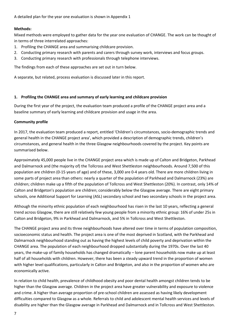A detailed plan for the year one evaluation is shown in Appendix 1

## **Methods:**

Mixed methods were employed to gather data for the year one evaluation of CHANGE. The work can be thought of in terms of three interrelated approaches:

- 1. Profiling the CHANGE area and summarising childcare provision.
- 2. Conducting primary research with parents and carers through survey work, interviews and focus groups.
- 3. Conducting primary research with professionals through telephone interviews.

The findings from each of these approaches are set out in turn below.

A separate, but related, process evaluation is discussed later in this report.

## **1. Profiling the CHANGE area and summary of early learning and childcare provision**

During the first year of the project, the evaluation team produced a profile of the CHANGE project area and a baseline summary of early learning and childcare provision and usage in the area.

## **Community profile**

In 2017, the evaluation team produced a report, entitled 'Children's circumstances, socio-demographic trends and general health in the CHANGE project area', which provided a description of demographic trends, children's circumstances, and general health in the three Glasgow neighbourhoods covered by the project. Key points are summarised below.

Approximately 45,000 people live in the CHANGE project area which is made up of Calton and Bridgeton, Parkhead and Dalmarnock and (the majority of) the Tollcross and West Shettleston neighbourhoods. Around 7,500 of this population are children (0-15 years of age) and of these, 3,000 are 0-4 years old. There are more children living in some parts of project area than others: nearly a quarter of the population of Parkhead and Dalmarnock (23%) are children; children make up a fifth of the population of Tollcross and West Shettleston (20%). In contrast, only 14% of Calton and Bridgeton's population are children; considerably below the Glasgow average. There are eight primary schools, one Additional Support for Learning (ASL) secondary school and two secondary schools in the project area.

Although the minority ethnic population of each neighbourhood has risen in the last 10 years, reflecting a general trend across Glasgow, there are still relatively few young people from a minority ethnic group: 16% of under 25s in Calton and Bridgeton, 9% in Parkhead and Dalmarnock, and 5% in Tollcross and West Shettleston.

The CHANGE project area and its three neighbourhoods have altered over time in terms of population composition, socioeconomic status and health. The project area is one of the most deprived in Scotland, with the Parkhead and Dalmarnock neighbourhood standing out as having the highest levels of child poverty and deprivation within the CHANGE area. The population of each neighbourhood dropped substantially during the 1970s. Over the last 40 years, the make-up of family households has changed dramatically – lone parent households now make up at least half of all households with children. However, there has been a steady upward trend in the proportion of women with higher level qualifications, particularly in Calton and Bridgeton, and also in the proportion of women who are economically active.

In relation to child health, prevalence of childhood obesity and poor dental health amongst children tends to be higher than the Glasgow average. Children in the project area have greater vulnerability and exposure to violence and crime. A higher than average proportion of pre-school children are assessed as having likely development difficulties compared to Glasgow as a whole. Referrals to child and adolescent mental health services and levels of disability are higher than the Glasgow average in Parkhead and Dalmarnock and in Tollcross and West Shettleston.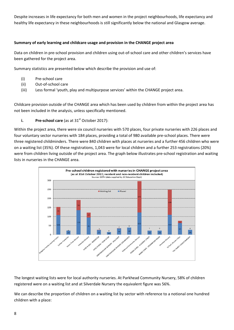Despite increases in life expectancy for both men and women in the project neighbourhoods, life expectancy and healthy life expectancy in these neighbourhoods is still significantly below the national and Glasgow average.

# **Summary of early learning and childcare usage and provision in the CHANGE project area**

Data on children in pre-school provision and children using out-of-school care and other children's services have been gathered for the project area.

Summary statistics are presented below which describe the provision and use of:

- (i) Pre-school care
- (ii) Out-of-school care
- (iii) Less formal 'youth, play and multipurpose services' within the CHANGE project area.

Childcare provision outside of the CHANGE area which has been used by children from within the project area has not been included in the analysis, unless specifically mentioned.

# **i. Pre-school care** (as at 31<sup>st</sup> October 2017):

Within the project area, there were six council nurseries with 570 places, four private nurseries with 226 places and four voluntary sector nurseries with 184 places, providing a total of 980 available pre-school places. There were three registered childminders. There were 840 children with places at nurseries and a further 456 children who were on a waiting list (35%). Of these registrations, 1,043 were for local children and a further 253 registrations (20%) were from children living outside of the project area. The graph below illustrates pre-school registration and waiting lists in nurseries in the CHANGE area.



The longest waiting lists were for local authority nurseries. At Parkhead Community Nursery, 58% of children registered were on a waiting list and at Silverdale Nursery the equivalent figure was 56%.

We can describe the proportion of children on a waiting list by sector with reference to a notional one hundred children with a place: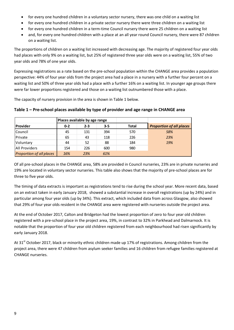- for every one hundred children in a voluntary sector nursery, there was one child on a waiting list
- for every one hundred children in a private sector nursery there were three children on a waiting list
- for every one hundred children in a term-time Council nursery there were 25 children on a waiting list
- and, for every one hundred children with a place at an all year round Council nursery, there were 87 children on a waiting list.

The proportions of children on a waiting list increased with decreasing age. The majority of registered four year olds had places with only 9% on a waiting list, but 25% of registered three year olds were on a waiting list, 55% of two year olds and 78% of one year olds.

Expressing registrations as a rate based on the pre-school population within the CHANGE area provides a population perspective: 44% of four year olds from the project area had a place in a nursery with a further four percent on a waiting list and 50% of three year olds had a place with a further 16% on a waiting list. In younger age groups there were far lower proportions registered and those on a waiting list outnumbered those with a place.

The capacity of nursery provision in the area is shown in Table 1 below.

|                                 | Places available by age range |         |         |              |                                 |  |
|---------------------------------|-------------------------------|---------|---------|--------------|---------------------------------|--|
| <b>IProvider</b>                | $0 - 2$                       | $2 - 3$ | $3 - 5$ | <b>Total</b> | <b>Proportion of all places</b> |  |
| Council                         | 45                            | 131     | 394     | 570          | 58%                             |  |
| Private                         | 65                            | 43      | 118     | 226          | 23%                             |  |
| Voluntary                       | 44                            | 52      | 88      | 184          | 19%                             |  |
| <b>All Providers</b>            | 154                           | 226     | 600     | 980          |                                 |  |
| <b>Proportion of all places</b> | 16%                           | 23%     | 61%     |              |                                 |  |

# **Table 1 – Pre-school places available by type of provider and age range in CHANGE area**

Of all pre-school places in the CHANGE area, 58% are provided in Council nurseries, 23% are in private nurseries and 19% are located in voluntary sector nurseries. This table also shows that the majority of pre-school places are for three to five year olds.

The timing of data extracts is important as registrations tend to rise during the school year. More recent data, based on an extract taken in early January 2018, showed a substantial increase in overall registrations (up by 24%) and in particular among four year olds (up by 34%). This extract, which included data from across Glasgow, also showed that 29% of four year olds resident in the CHANGE area were registered with nurseries outside the project area.

At the end of October 2017, Calton and Bridgeton had the lowest proportion of zero to four year old children registered with a pre-school place in the project area, 19%, in contrast to 32% in Parkhead and Dalmarnock. It is notable that the proportion of four year old children registered from each neighbourhood had risen significantly by early January 2018.

At 31<sup>st</sup> October 2017, black or minority ethnic children made up 17% of registrations. Among children from the project area, there were 47 children from asylum seeker families and 16 children from refugee families registered at CHANGE nurseries.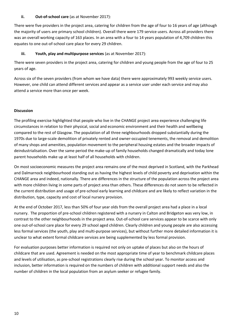## **ii. Out-of-school care** (as at November 2017):

There were five providers in the project area, catering for children from the age of four to 16 years of age (although the majority of users are primary school children). Overall there were 179 service users. Across all providers there was an overall working capacity of 163 places. In an area with a four to 14 years population of 4,709 children this equates to one out-of-school care place for every 29 children.

# **iii. Youth, play and multipurpose services** (as at November 2017):

There were seven providers in the project area, catering for children and young people from the age of four to 25 years of age.

Across six of the seven providers (from whom we have data) there were approximately 993 weekly service users. However, one child can attend different services and appear as a service user under each service and may also attend a service more than once per week.

# **Discussion**

The profiling exercise highlighted that people who live in the CHANGE project area experience challenging life circumstances in relation to their physical, social and economic environment and their health and wellbeing compared to the rest of Glasgow. The population of all three neighbourhoods dropped substantially during the 1970s due to large-scale demolition of privately rented and owner-occupied tenements, the removal and demolition of many shops and amenities, population movement to the peripheral housing estates and the broader impacts of deindustrialisation. Over the same period the make-up of family households changed dramatically and today lone parent households make up at least half of all households with children.

On most socioeconomic measures the project area remains one of the most deprived in Scotland, with the Parkhead and Dalmarnock neighbourhood standing out as having the highest levels of child poverty and deprivation within the CHANGE area and indeed, nationally. There are differences in the structure of the population across the project area with more children living in some parts of project area than others. These differences do not seem to be reflected in the current distribution and usage of pre-school early learning and childcare and are likely to reflect variation in the distribution, type, capacity and cost of local nursery provision.

At the end of October 2017, less than 50% of four year olds from the overall project area had a place in a local nursery. The proportion of pre-school children registered with a nursery in Calton and Bridgeton was very low, in contrast to the other neighbourhoods in the project area. Out-of-school care services appear to be scarce with only one out-of-school care place for every 29 school aged children. Clearly children and young people are also accessing less formal services (the youth, play and multi-purpose services), but without further more detailed information it is unclear to what extent formal childcare services are being supplemented by less formal provision.

For evaluation purposes better information is required not only on uptake of places but also on the hours of childcare that are used. Agreement is needed on the most appropriate time of year to benchmark childcare places and levels of utilisation, as pre-school registrations clearly rise during the school year. To monitor access and inclusion, better information is required on the numbers of children with additional support needs and also the number of children in the local population from an asylum seeker or refugee family.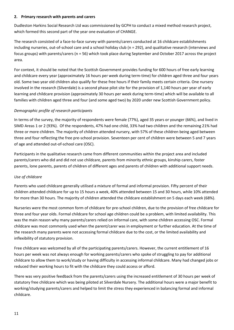## **2. Primary research with parents and carers**

Dudleston Harkins Social Research Ltd was commissioned by GCPH to conduct a mixed method research project, which formed this second part of the year one evaluation of CHANGE.

The research consisted of a face-to-face survey with parents/carers conducted at 16 childcare establishments including nurseries, out-of-school care and a school holiday club (n = 292), and qualitative research (interviews and focus groups) with parents/carers (n = 56) which took place during September and October 2017 across the project area.

For context, it should be noted that the Scottish Government provides funding for 600 hours of free early learning and childcare every year (approximately 16 hours per week during term-time) for children aged three and four years old. Some two year old children also qualify for these free hours if their family meets certain criteria. One nursery involved in the research (Silverdale) is a second phase pilot site for the provision of 1,140 hours per year of early learning and childcare provision (approximately 30 hours per week during term-time) which will be available to all families with children aged three and four (and some aged two) by 2020 under new Scottish Government policy.

# *Demographic profile of research participants*

In terms of the survey, the majority of respondents were female (77%), aged 35 years or younger (66%), and lived in SIMD Areas 1 or 2 (93%). Of the respondents, 47% had one child, 33% had two children and the remaining 21% had three or more children. The majority of children attended nursery, with 57% of these children being aged between three and four reflecting the free pre-school provision. Seventeen per cent of children were between 5 and 7 years of age and attended out-of-school care (OSC).

Participants in the qualitative research came from different communities within the project area and included parents/carers who did and did not use childcare, parents from minority ethnic groups, kinship carers, foster parents, lone parents, parents of children of different ages and parents of children with additional support needs.

## *Use of childcare*

Parents who used childcare generally utilised a mixture of formal and informal provision. Fifty percent of their children attended childcare for up to 15 hours a week, 40% attended between 15 and 30 hours, while 10% attended for more than 30 hours. The majority of children attended the childcare establishment on 5 days each week (68%).

Nurseries were the most common form of childcare for pre-school children, due to the provision of free childcare for three and four year olds. Formal childcare for school age children could be a problem, with limited availability. This was the main reason why many parents/carers relied on informal care, with some children accessing OSC. Formal childcare was most commonly used when the parent/carer was in employment or further education. At the time of the research many parents were not accessing formal childcare due to the cost, or the limited availability and inflexibility of statutory provision.

Free childcare was welcomed by all of the participating parents/carers. However, the current entitlement of 16 hours per week was not always enough for working parents/carers who spoke of struggling to pay for additional childcare to allow them to work/study or having difficulty in accessing informal childcare. Many had changed jobs or reduced their working hours to fit with the childcare they could access or afford.

There was very positive feedback from the parents/carers using the increased entitlement of 30 hours per week of statutory free childcare which was being piloted at Silverdale Nursery. The additional hours were a major benefit to working/studying parents/carers and helped to limit the stress they experienced in balancing formal and informal childcare.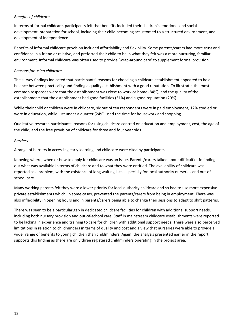# *Benefits of childcare*

In terms of formal childcare, participants felt that benefits included their children's emotional and social development, preparation for school, including their child becoming accustomed to a structured environment, and development of independence.

Benefits of informal childcare provision included affordability and flexibility. Some parents/carers had more trust and confidence in a friend or relative, and preferred their child to be in what they felt was a more nurturing, familiar environment. Informal childcare was often used to provide 'wrap-around care' to supplement formal provision.

## *Reasons for using childcare*

The survey findings indicated that participants' reasons for choosing a childcare establishment appeared to be a balance between practicality and finding a quality establishment with a good reputation. To illustrate, the most common responses were that the establishment was close to work or home (84%), and the quality of the establishment: that the establishment had good facilities (31%) and a good reputation (29%).

While their child or children were in childcare, six out of ten respondents were in paid employment, 12% studied or were in education, while just under a quarter (24%) used the time for housework and shopping.

Qualitative research participants' reasons for using childcare centred on education and employment, cost, the age of the child, and the free provision of childcare for three and four year olds.

## *Barriers*

A range of barriers in accessing early learning and childcare were cited by participants.

Knowing where, when or how to apply for childcare was an issue. Parents/carers talked about difficulties in finding out what was available in terms of childcare and to what they were entitled. The availability of childcare was reported as a problem, with the existence of long waiting lists, especially for local authority nurseries and out-ofschool care.

Many working parents felt they were a lower priority for local authority childcare and so had to use more expensive private establishments which, in some cases, prevented the parents/carers from being in employment. There was also inflexibility in opening hours and in parents/carers being able to change their sessions to adapt to shift patterns.

There was seen to be a particular gap in dedicated childcare facilities for children with additional support needs, including both nursery provision and out-of-school care. Staff in mainstream childcare establishments were reported to be lacking in experience and training to care for children with additional support needs. There were also perceived limitations in relation to childminders in terms of quality and cost and a view that nurseries were able to provide a wider range of benefits to young children than childminders. Again, the analysis presented earlier in the report supports this finding as there are only three registered childminders operating in the project area.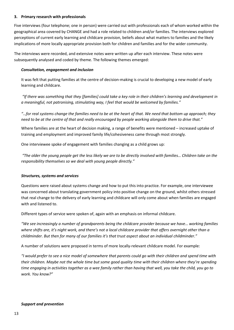## **3. Primary research with professionals**

Five interviews (four telephone; one in person) were carried out with professionals each of whom worked within the geographical area covered by CHANGE and had a role related to children and/or families. The interviews explored perceptions of current early learning and childcare provision, beliefs about what matters to families and the likely implications of more locally appropriate provision both for children and families and for the wider community.

The interviews were recorded, and extensive notes were written up after each interview. These notes were subsequently analysed and coded by theme. The following themes emerged:

## *Consultation, engagement and inclusion*

It was felt that putting families at the centre of decision-making is crucial to developing a new model of early learning and childcare.

*"If there was something that they [families] could take a key role in their children's learning and development in a meaningful, not patronising, stimulating way, I feel that would be welcomed by families."* 

*"…for real systems change the families need to be at the heart of that. We need that bottom up approach; they need to be at the centre of that and really encouraged by people working alongside them to drive that."* 

Where families are at the heart of decision making, a range of benefits were mentioned – increased uptake of training and employment and improved family life/cohesiveness came through most strongly.

One interviewee spoke of engagement with families changing as a child grows up:

*"The older the young people get the less likely we are to be directly involved with families… Children take on the responsibility themselves so we deal with young people directly."*

#### *Structures, systems and services*

Questions were raised about systems change and how to put this into practice. For example, one interviewee was concerned about translating government policy into positive change on the ground, whilst others stressed that real change to the delivery of early learning and childcare will only come about when families are engaged with and listened to.

Different types of service were spoken of, again with an emphasis on informal childcare.

*"We see increasingly a number of grandparents being the childcare provider because we have… working families where shifts are, it's night work, and there's not a local childcare provider that offers overnight other than a childminder. But then for many of our families it's that trust aspect about an individual childminder."*

A number of solutions were proposed in terms of more locally-relevant childcare model. For example:

*"I would prefer to see a nice model of somewhere that parents could go with their children and spend time with their children. Maybe not the whole time but some good quality time with their children where they're spending time engaging in activities together as a wee family rather than having that well, you take the child, you go to work. You know?"* 

#### *Support and prevention*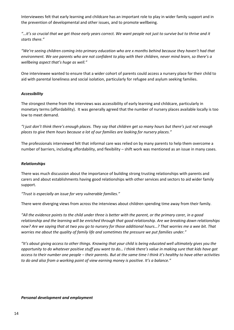Interviewees felt that early learning and childcare has an important role to play in wider family support and in the prevention of developmental and other issues, and to promote wellbeing.

*"…it's so crucial that we get those early years correct. We want people not just to survive but to thrive and it starts there."*

*"We're seeing children coming into primary education who are x months behind because they haven't had that environment. We see parents who are not confident to play with their children, never mind learn, so there's a wellbeing aspect that's huge as well."* 

One interviewee wanted to ensure that a wider cohort of parents could access a nursery place for their child to aid with parental loneliness and social isolation, particularly for refugee and asylum seeking families.

## *Accessibility*

The strongest theme from the interviews was accessibility of early learning and childcare, particularly in monetary terms (affordability). It was generally agreed that the number of nursery places available locally is too low to meet demand.

*"I just don't think there's enough places. They say that children get so many hours but there's just not enough places to give them hours because a lot of our families are looking for nursery places."* 

The professionals interviewed felt that informal care was relied on by many parents to help them overcome a number of barriers, including affordability, and flexibility – shift work was mentioned as an issue in many cases.

#### *Relationships*

There was much discussion about the importance of building strong trusting relationships with parents and carers and about establishments having good relationships with other services and sectors to aid wider family support.

*"Trust is especially an issue for very vulnerable families."* 

There were diverging views from across the interviews about children spending time away from their family.

*"All the evidence points to the child under three is better with the parent, or the primary carer, in a good relationship and the learning will be enriched through that good relationship. Are we breaking down relationships now? Are we saying that at two you go to nursery for those additional hours…? That worries me a wee bit. That worries me about the quality of family life and sometimes the pressure we put families under."* 

*"It's about giving access to other things. Knowing that your child is being educated well ultimately gives you the opportunity to do whatever positive stuff you want to do… I think there's value in making sure that kids have got access to their number one people – their parents. But at the same time I think it's healthy to have other activities to do and also from a working point of view earning money is positive. It's a balance."* 

#### *Personal development and employment*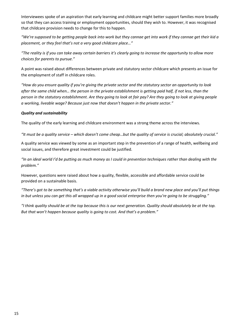Interviewees spoke of an aspiration that early learning and childcare might better support families more broadly so that they can access training or employment opportunities, should they wish to. However, it was recognised that childcare provision needs to change for this to happen.

*"We're supposed to be getting people back into work but they cannae get into work if they cannae get their kid a placement, or they feel that's not a very good childcare place…"*

*"The reality is if you can take away certain barriers it's clearly going to increase the opportunity to allow more choices for parents to pursue."*

A point was raised about differences between private and statutory sector childcare which presents an issue for the employment of staff in childcare roles.

*"How do you ensure quality if you're giving the private sector and the statutory sector an opportunity to look after the same child when… the person in the private establishment is getting paid half, if not less, than the person in the statutory establishment. Are they going to look at fair pay? Are they going to look at giving people a working, liveable wage? Because just now that doesn't happen in the private sector."* 

## *Quality and sustainability*

The quality of the early learning and childcare environment was a strong theme across the interviews.

*"It must be a quality service – which doesn't come cheap…but the quality of service is crucial; absolutely crucial."* 

A quality service was viewed by some as an important step in the prevention of a range of health, wellbeing and social issues, and therefore great investment could be justified.

*"In an ideal world I'd be putting as much money as I could in prevention techniques rather than dealing with the problem."* 

However, questions were raised about how a quality, flexible, accessible and affordable service could be provided on a sustainable basis.

*"There's got to be something that's a viable activity otherwise you'll build a brand new place and you'll put things in but unless you can get this all wrapped up in a good social enterprise then you're going to be struggling."* 

*"I think quality should be at the top because this is our next generation. Quality should absolutely be at the top. But that won't happen because quality is going to cost. And that's a problem."*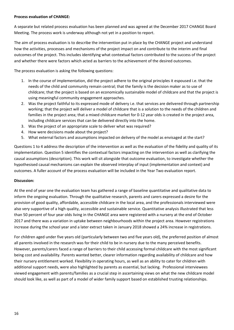## **Process evaluation of CHANGE:**

A separate but related process evaluation has been planned and was agreed at the December 2017 CHANGE Board Meeting. The process work is underway although not yet in a position to report.

The aim of process evaluation is to describe the intervention put in place by the CHANGE project and understand how the activities, processes and mechanisms of the project impact on and contribute to the interim and final outcomes of the project. This includes identifying what contextual factors contributed to the success of the project and whether there were factors which acted as barriers to the achievement of the desired outcomes.

The process evaluation is asking the following questions:

- 1. In the course of implementation, did the project adhere to the original principles it espoused i.e. that the needs of the child and community remain central; that the family is the decision maker as to use of childcare; that the project is based on an economically sustainable model of childcare and that the project is using meaningful community engagement approaches.
- 2. Was the project faithful to its expressed mode of delivery i.e. that services are delivered through partnership working; that the project will deliver a model of childcare that is a solution to the needs of the children and families in the project area; that a mixed childcare market for 0-12 year olds is created in the project area, including childcare services that can be delivered directly into the home.
- 3. Was the project of an appropriate scale to deliver what was required?
- 4. How were decisions made about the project?
- 5. What external factors and assumptions impacted on delivery of the model as envisaged at the start?

Questions 1 to 4 address the description of the intervention as well as the evaluation of the fidelity and quality of its implementation. Question 5 identifies the contextual factors impacting on the intervention as well as clarifying the causal assumptions (description). This work will sit alongside that outcome evaluation, to investigate whether the hypothesised causal mechanisms can explain the observed interplay of input (implementation and context) and outcomes. A fuller account of the process evaluation will be included in the Year Two evaluation report.

## **Discussion:**

At the end of year one the evaluation team has gathered a range of baseline quantitative and qualitative data to inform the ongoing evaluation. Through the qualitative research, parents and carers expressed a desire for the provision of good quality, affordable, accessible childcare in the local area, and the professionals interviewed were also very supportive of a high quality, accessible and sustainable service. Quantitative analysis illustrated that less than 50 percent of four year olds living in the CHANGE area were registered with a nursery at the end of October 2017 and there was a variation in uptake between neighbourhoods within the project area. However registrations increase during the school year and a later extract taken in January 2018 showed a 24% increase in registrations.

For children aged under five years old (particularly between two and five years old), the preferred position of almost all parents involved in the research was for their child to be in nursery due to the many perceived benefits. However, parents/carers faced a range of barriers to their child accessing formal childcare with the most significant being cost and availability. Parents wanted better, clearer information regarding availability of childcare and how their nursery entitlement worked. Flexibility in operating hours, as well as an ability to cater for children with additional support needs, were also highlighted by parents as essential, but lacking. Professional interviewees viewed engagement with parents/families as a crucial step in ascertaining views on what the new childcare model should look like, as well as part of a model of wider family support based on established trusting relationships.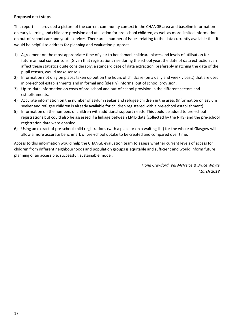## **Proposed next steps**

This report has provided a picture of the current community context in the CHANGE area and baseline information on early learning and childcare provision and utilisation for pre-school children, as well as more limited information on out-of-school care and youth services. There are a number of issues relating to the data currently available that it would be helpful to address for planning and evaluation purposes:

- 1) Agreement on the most appropriate time of year to benchmark childcare places and levels of utilisation for future annual comparisons. (Given that registrations rise during the school year, the date of data extraction can affect these statistics quite considerably; a standard date of data extraction, preferably matching the date of the pupil census, would make sense.)
- 2) Information not only on places taken up but on the hours of childcare (on a daily and weekly basis) that are used in pre-school establishments and in formal and (ideally) informal out of school provision.
- 3) Up-to-date information on costs of pre-school and out-of-school provision in the different sectors and establishments.
- 4) Accurate information on the number of asylum seeker and refugee children in the area. (Information on asylum seeker and refugee children is already available for children registered with a pre-school establishment).
- 5) Information on the numbers of children with additional support needs. This could be added to pre-school registrations but could also be assessed if a linkage between EMIS data (collected by the NHS) and the pre-school registration data were enabled.
- 6) Using an extract of pre-school child registrations (with a place or on a waiting list) for the whole of Glasgow will allow a more accurate benchmark of pre-school uptake to be created and compared over time.

Access to this information would help the CHANGE evaluation team to assess whether current levels of access for children from different neighbourhoods and population groups is equitable and sufficient and would inform future planning of an accessible, successful, sustainable model.

> *Fiona Crawford, Val McNeice & Bruce Whyte March 2018*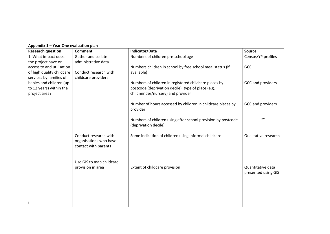| Appendix 1 - Year One evaluation plan                  |                                                                         |                                                                                         |                                          |  |  |  |
|--------------------------------------------------------|-------------------------------------------------------------------------|-----------------------------------------------------------------------------------------|------------------------------------------|--|--|--|
| <b>Research question</b>                               | <b>Comment</b>                                                          | Indicator/Data                                                                          | Source                                   |  |  |  |
| 1. What impact does<br>the project have on             | Gather and collate<br>administrative data                               | Numbers of children pre-school age                                                      | Census/YP profiles                       |  |  |  |
| access to and utilisation<br>of high quality childcare | Conduct research with                                                   | Numbers children in school by free school meal status (if<br>available)                 | GCC                                      |  |  |  |
| services by families of<br>babies and children (up     | childcare providers                                                     | Numbers of children in registered childcare places by                                   | GCC and providers                        |  |  |  |
| to 12 years) within the<br>project area?               |                                                                         | postcode (deprivation decile), type of place (e.g.<br>childminder/nursery) and provider |                                          |  |  |  |
|                                                        |                                                                         | Number of hours accessed by children in childcare places by<br>provider                 | GCC and providers                        |  |  |  |
|                                                        |                                                                         | Numbers of children using after school provision by postcode<br>(deprivation decile)    | $\iota$                                  |  |  |  |
|                                                        | Conduct research with<br>organisations who have<br>contact with parents | Some indication of children using informal childcare                                    | Qualitative research                     |  |  |  |
|                                                        | Use GIS to map childcare<br>provision in area                           | Extent of childcare provision                                                           | Quantitative data<br>presented using GIS |  |  |  |
|                                                        |                                                                         |                                                                                         |                                          |  |  |  |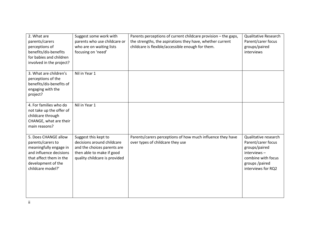| 2. What are<br>parents/carers<br>perceptions of<br>benefits/dis-benefits<br>for babies and children<br>involved in the project?                                      | Suggest some work with<br>parents who use childcare or<br>who are on waiting lists<br>focusing on 'need'                                        | Parents perceptions of current childcare provision - the gaps,<br>the strengths, the aspirations they have, whether current<br>childcare is flexible/accessible enough for them. | <b>Qualitative Research</b><br>Parent/carer focus<br>groups/paired<br>interviews                                                         |
|----------------------------------------------------------------------------------------------------------------------------------------------------------------------|-------------------------------------------------------------------------------------------------------------------------------------------------|----------------------------------------------------------------------------------------------------------------------------------------------------------------------------------|------------------------------------------------------------------------------------------------------------------------------------------|
| 3. What are children's<br>perceptions of the<br>benefits/dis-benefits of<br>engaging with the<br>project?                                                            | Nil in Year 1                                                                                                                                   |                                                                                                                                                                                  |                                                                                                                                          |
| 4. For families who do<br>not take up the offer of<br>childcare through<br>CHANGE, what are their<br>main reasons?                                                   | Nil in Year 1                                                                                                                                   |                                                                                                                                                                                  |                                                                                                                                          |
| 5. Does CHANGE allow<br>parents/carers to<br>meaningfully engage in<br>and influence decisions<br>that affect them in the<br>development of the<br>childcare model?' | Suggest this kept to<br>decisions around childcare<br>and the choices parents are<br>then able to make if good<br>quality childcare is provided | Parents/carers perceptions of how much influence they have<br>over types of childcare they use                                                                                   | Qualitative research<br>Parent/carer focus<br>groups/paired<br>interviews-<br>combine with focus<br>groups /paired<br>interviews for RQ2 |